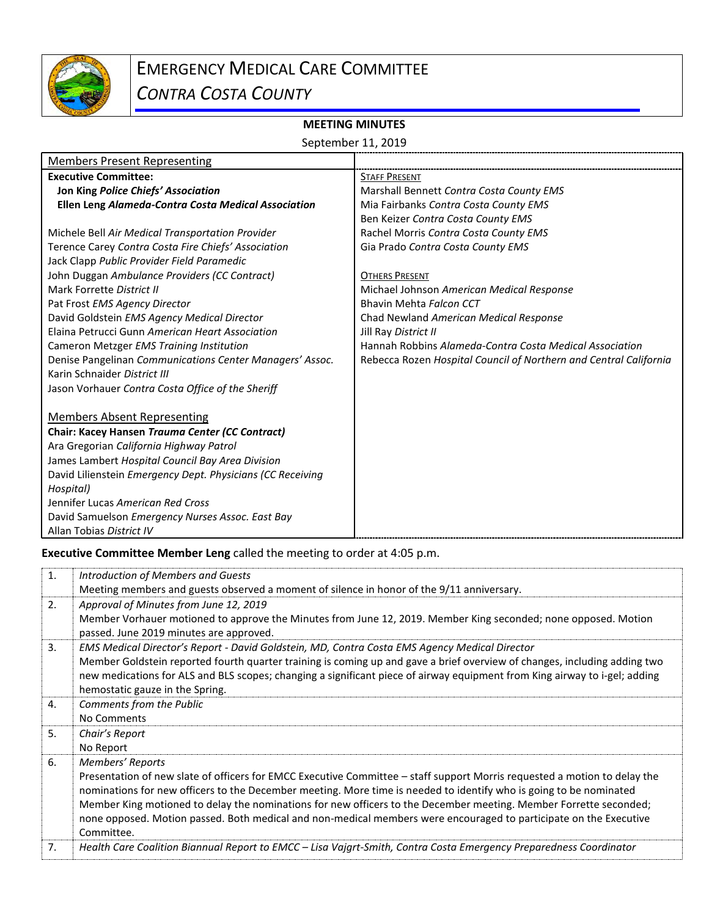

## EMERGENCY MEDICAL CARE COMMITTEE

*CONTRA COSTA COUNTY*

## **MEETING MINUTES**

| September 11, 2019 |  |  |
|--------------------|--|--|
|--------------------|--|--|

| <b>Members Present Representing</b>                        |                                                                   |
|------------------------------------------------------------|-------------------------------------------------------------------|
| <b>Executive Committee:</b>                                | <b>STAFF PRESENT</b>                                              |
| Jon King Police Chiefs' Association                        | Marshall Bennett Contra Costa County EMS                          |
| <b>Ellen Leng Alameda-Contra Costa Medical Association</b> | Mia Fairbanks Contra Costa County EMS                             |
|                                                            | Ben Keizer Contra Costa County EMS                                |
| Michele Bell Air Medical Transportation Provider           | Rachel Morris Contra Costa County EMS                             |
| Terence Carey Contra Costa Fire Chiefs' Association        | Gia Prado Contra Costa County EMS                                 |
| Jack Clapp Public Provider Field Paramedic                 |                                                                   |
| John Duggan Ambulance Providers (CC Contract)              | <b>OTHERS PRESENT</b>                                             |
| Mark Forrette District II                                  | Michael Johnson American Medical Response                         |
| Pat Frost EMS Agency Director                              | Bhavin Mehta Falcon CCT                                           |
| David Goldstein EMS Agency Medical Director                | Chad Newland American Medical Response                            |
| Elaina Petrucci Gunn American Heart Association            | Jill Ray District II                                              |
| Cameron Metzger EMS Training Institution                   | Hannah Robbins Alameda-Contra Costa Medical Association           |
| Denise Pangelinan Communications Center Managers' Assoc.   | Rebecca Rozen Hospital Council of Northern and Central California |
| Karin Schnaider District III                               |                                                                   |
| Jason Vorhauer Contra Costa Office of the Sheriff          |                                                                   |
|                                                            |                                                                   |
| <b>Members Absent Representing</b>                         |                                                                   |
| Chair: Kacey Hansen Trauma Center (CC Contract)            |                                                                   |
| Ara Gregorian California Highway Patrol                    |                                                                   |
| James Lambert Hospital Council Bay Area Division           |                                                                   |
| David Lilienstein Emergency Dept. Physicians (CC Receiving |                                                                   |
| Hospital)                                                  |                                                                   |
| Jennifer Lucas American Red Cross                          |                                                                   |
| David Samuelson Emergency Nurses Assoc. East Bay           |                                                                   |
| Allan Tobias District IV                                   |                                                                   |

**Executive Committee Member Leng** called the meeting to order at 4:05 p.m.

| 1. | Introduction of Members and Guests                                                                                                                        |
|----|-----------------------------------------------------------------------------------------------------------------------------------------------------------|
|    | Meeting members and guests observed a moment of silence in honor of the 9/11 anniversary.                                                                 |
| 2. | Approval of Minutes from June 12, 2019                                                                                                                    |
|    | Member Vorhauer motioned to approve the Minutes from June 12, 2019. Member King seconded; none opposed. Motion<br>passed. June 2019 minutes are approved. |
| 3. | EMS Medical Director's Report - David Goldstein, MD, Contra Costa EMS Agency Medical Director                                                             |
|    | Member Goldstein reported fourth quarter training is coming up and gave a brief overview of changes, including adding two                                 |
|    | new medications for ALS and BLS scopes; changing a significant piece of airway equipment from King airway to i-gel; adding                                |
|    | hemostatic gauze in the Spring.                                                                                                                           |
| 4. | Comments from the Public                                                                                                                                  |
|    | No Comments                                                                                                                                               |
| 5. | Chair's Report                                                                                                                                            |
|    | No Report                                                                                                                                                 |
| 6. | Members' Reports                                                                                                                                          |
|    | Presentation of new slate of officers for EMCC Executive Committee - staff support Morris requested a motion to delay the                                 |
|    | nominations for new officers to the December meeting. More time is needed to identify who is going to be nominated                                        |
|    | Member King motioned to delay the nominations for new officers to the December meeting. Member Forrette seconded;                                         |
|    | none opposed. Motion passed. Both medical and non-medical members were encouraged to participate on the Executive                                         |
|    | Committee.                                                                                                                                                |
| 7. | Health Care Coalition Biannual Report to EMCC - Lisa Vajgrt-Smith, Contra Costa Emergency Preparedness Coordinator                                        |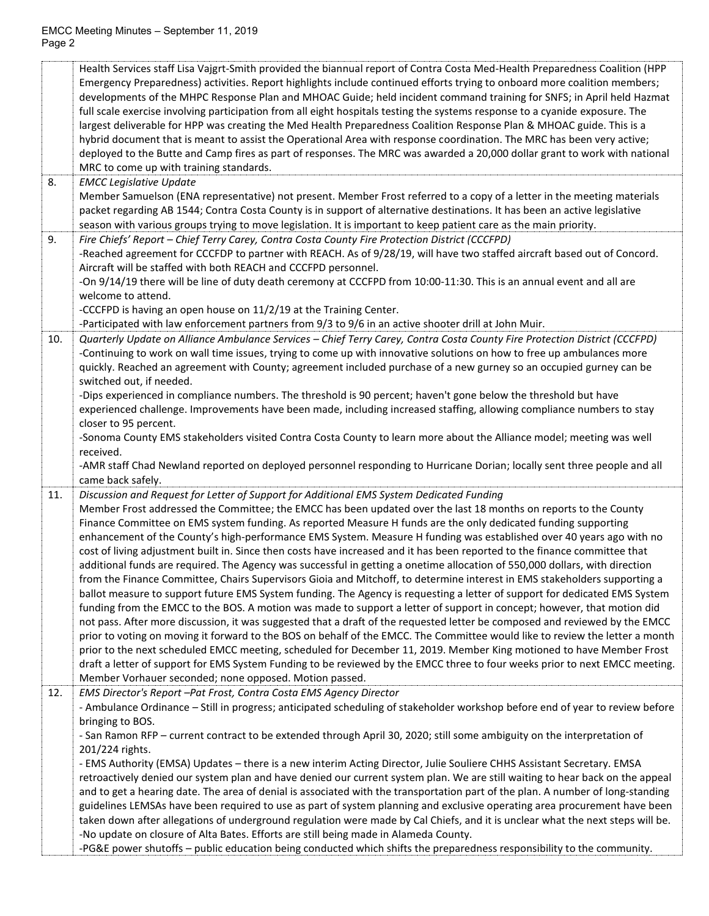|     | Health Services staff Lisa Vajgrt-Smith provided the biannual report of Contra Costa Med-Health Preparedness Coalition (HPP<br>Emergency Preparedness) activities. Report highlights include continued efforts trying to onboard more coalition members;<br>developments of the MHPC Response Plan and MHOAC Guide; held incident command training for SNFS; in April held Hazmat<br>full scale exercise involving participation from all eight hospitals testing the systems response to a cyanide exposure. The<br>largest deliverable for HPP was creating the Med Health Preparedness Coalition Response Plan & MHOAC guide. This is a<br>hybrid document that is meant to assist the Operational Area with response coordination. The MRC has been very active;<br>deployed to the Butte and Camp fires as part of responses. The MRC was awarded a 20,000 dollar grant to work with national<br>MRC to come up with training standards. |
|-----|-----------------------------------------------------------------------------------------------------------------------------------------------------------------------------------------------------------------------------------------------------------------------------------------------------------------------------------------------------------------------------------------------------------------------------------------------------------------------------------------------------------------------------------------------------------------------------------------------------------------------------------------------------------------------------------------------------------------------------------------------------------------------------------------------------------------------------------------------------------------------------------------------------------------------------------------------|
| 8.  | <b>EMCC Legislative Update</b><br>Member Samuelson (ENA representative) not present. Member Frost referred to a copy of a letter in the meeting materials                                                                                                                                                                                                                                                                                                                                                                                                                                                                                                                                                                                                                                                                                                                                                                                     |
|     | packet regarding AB 1544; Contra Costa County is in support of alternative destinations. It has been an active legislative<br>season with various groups trying to move legislation. It is important to keep patient care as the main priority.                                                                                                                                                                                                                                                                                                                                                                                                                                                                                                                                                                                                                                                                                               |
| 9.  | Fire Chiefs' Report - Chief Terry Carey, Contra Costa County Fire Protection District (CCCFPD)                                                                                                                                                                                                                                                                                                                                                                                                                                                                                                                                                                                                                                                                                                                                                                                                                                                |
|     | -Reached agreement for CCCFDP to partner with REACH. As of 9/28/19, will have two staffed aircraft based out of Concord.                                                                                                                                                                                                                                                                                                                                                                                                                                                                                                                                                                                                                                                                                                                                                                                                                      |
|     | Aircraft will be staffed with both REACH and CCCFPD personnel.                                                                                                                                                                                                                                                                                                                                                                                                                                                                                                                                                                                                                                                                                                                                                                                                                                                                                |
|     | -On 9/14/19 there will be line of duty death ceremony at CCCFPD from 10:00-11:30. This is an annual event and all are<br>welcome to attend.                                                                                                                                                                                                                                                                                                                                                                                                                                                                                                                                                                                                                                                                                                                                                                                                   |
|     | -CCCFPD is having an open house on 11/2/19 at the Training Center.                                                                                                                                                                                                                                                                                                                                                                                                                                                                                                                                                                                                                                                                                                                                                                                                                                                                            |
|     | -Participated with law enforcement partners from 9/3 to 9/6 in an active shooter drill at John Muir.                                                                                                                                                                                                                                                                                                                                                                                                                                                                                                                                                                                                                                                                                                                                                                                                                                          |
| 10. | Quarterly Update on Alliance Ambulance Services - Chief Terry Carey, Contra Costa County Fire Protection District (CCCFPD)                                                                                                                                                                                                                                                                                                                                                                                                                                                                                                                                                                                                                                                                                                                                                                                                                    |
|     | -Continuing to work on wall time issues, trying to come up with innovative solutions on how to free up ambulances more                                                                                                                                                                                                                                                                                                                                                                                                                                                                                                                                                                                                                                                                                                                                                                                                                        |
|     | quickly. Reached an agreement with County; agreement included purchase of a new gurney so an occupied gurney can be                                                                                                                                                                                                                                                                                                                                                                                                                                                                                                                                                                                                                                                                                                                                                                                                                           |
|     | switched out, if needed.<br>-Dips experienced in compliance numbers. The threshold is 90 percent; haven't gone below the threshold but have                                                                                                                                                                                                                                                                                                                                                                                                                                                                                                                                                                                                                                                                                                                                                                                                   |
|     | experienced challenge. Improvements have been made, including increased staffing, allowing compliance numbers to stay                                                                                                                                                                                                                                                                                                                                                                                                                                                                                                                                                                                                                                                                                                                                                                                                                         |
|     | closer to 95 percent.                                                                                                                                                                                                                                                                                                                                                                                                                                                                                                                                                                                                                                                                                                                                                                                                                                                                                                                         |
|     | -Sonoma County EMS stakeholders visited Contra Costa County to learn more about the Alliance model; meeting was well                                                                                                                                                                                                                                                                                                                                                                                                                                                                                                                                                                                                                                                                                                                                                                                                                          |
|     | received.                                                                                                                                                                                                                                                                                                                                                                                                                                                                                                                                                                                                                                                                                                                                                                                                                                                                                                                                     |
|     | -AMR staff Chad Newland reported on deployed personnel responding to Hurricane Dorian; locally sent three people and all<br>came back safely.                                                                                                                                                                                                                                                                                                                                                                                                                                                                                                                                                                                                                                                                                                                                                                                                 |
| 11. | Discussion and Request for Letter of Support for Additional EMS System Dedicated Funding                                                                                                                                                                                                                                                                                                                                                                                                                                                                                                                                                                                                                                                                                                                                                                                                                                                      |
|     | Member Frost addressed the Committee; the EMCC has been updated over the last 18 months on reports to the County                                                                                                                                                                                                                                                                                                                                                                                                                                                                                                                                                                                                                                                                                                                                                                                                                              |
|     | Finance Committee on EMS system funding. As reported Measure H funds are the only dedicated funding supporting                                                                                                                                                                                                                                                                                                                                                                                                                                                                                                                                                                                                                                                                                                                                                                                                                                |
|     | enhancement of the County's high-performance EMS System. Measure H funding was established over 40 years ago with no                                                                                                                                                                                                                                                                                                                                                                                                                                                                                                                                                                                                                                                                                                                                                                                                                          |
|     | cost of living adjustment built in. Since then costs have increased and it has been reported to the finance committee that                                                                                                                                                                                                                                                                                                                                                                                                                                                                                                                                                                                                                                                                                                                                                                                                                    |
|     | additional funds are required. The Agency was successful in getting a onetime allocation of 550,000 dollars, with direction                                                                                                                                                                                                                                                                                                                                                                                                                                                                                                                                                                                                                                                                                                                                                                                                                   |
|     | from the Finance Committee, Chairs Supervisors Gioia and Mitchoff, to determine interest in EMS stakeholders supporting a<br>ballot measure to support future EMS System funding. The Agency is requesting a letter of support for dedicated EMS System                                                                                                                                                                                                                                                                                                                                                                                                                                                                                                                                                                                                                                                                                       |
|     | funding from the EMCC to the BOS. A motion was made to support a letter of support in concept; however, that motion did                                                                                                                                                                                                                                                                                                                                                                                                                                                                                                                                                                                                                                                                                                                                                                                                                       |
|     | not pass. After more discussion, it was suggested that a draft of the requested letter be composed and reviewed by the EMCC                                                                                                                                                                                                                                                                                                                                                                                                                                                                                                                                                                                                                                                                                                                                                                                                                   |
|     | prior to voting on moving it forward to the BOS on behalf of the EMCC. The Committee would like to review the letter a month                                                                                                                                                                                                                                                                                                                                                                                                                                                                                                                                                                                                                                                                                                                                                                                                                  |
|     | prior to the next scheduled EMCC meeting, scheduled for December 11, 2019. Member King motioned to have Member Frost                                                                                                                                                                                                                                                                                                                                                                                                                                                                                                                                                                                                                                                                                                                                                                                                                          |
|     | draft a letter of support for EMS System Funding to be reviewed by the EMCC three to four weeks prior to next EMCC meeting.                                                                                                                                                                                                                                                                                                                                                                                                                                                                                                                                                                                                                                                                                                                                                                                                                   |
| 12. | Member Vorhauer seconded; none opposed. Motion passed.<br>EMS Director's Report -Pat Frost, Contra Costa EMS Agency Director                                                                                                                                                                                                                                                                                                                                                                                                                                                                                                                                                                                                                                                                                                                                                                                                                  |
|     | - Ambulance Ordinance - Still in progress; anticipated scheduling of stakeholder workshop before end of year to review before                                                                                                                                                                                                                                                                                                                                                                                                                                                                                                                                                                                                                                                                                                                                                                                                                 |
|     | bringing to BOS.                                                                                                                                                                                                                                                                                                                                                                                                                                                                                                                                                                                                                                                                                                                                                                                                                                                                                                                              |
|     | - San Ramon RFP - current contract to be extended through April 30, 2020; still some ambiguity on the interpretation of                                                                                                                                                                                                                                                                                                                                                                                                                                                                                                                                                                                                                                                                                                                                                                                                                       |
|     | 201/224 rights.                                                                                                                                                                                                                                                                                                                                                                                                                                                                                                                                                                                                                                                                                                                                                                                                                                                                                                                               |
|     | - EMS Authority (EMSA) Updates - there is a new interim Acting Director, Julie Souliere CHHS Assistant Secretary. EMSA                                                                                                                                                                                                                                                                                                                                                                                                                                                                                                                                                                                                                                                                                                                                                                                                                        |
|     | retroactively denied our system plan and have denied our current system plan. We are still waiting to hear back on the appeal                                                                                                                                                                                                                                                                                                                                                                                                                                                                                                                                                                                                                                                                                                                                                                                                                 |
|     | and to get a hearing date. The area of denial is associated with the transportation part of the plan. A number of long-standing<br>guidelines LEMSAs have been required to use as part of system planning and exclusive operating area procurement have been                                                                                                                                                                                                                                                                                                                                                                                                                                                                                                                                                                                                                                                                                  |
|     | taken down after allegations of underground regulation were made by Cal Chiefs, and it is unclear what the next steps will be.                                                                                                                                                                                                                                                                                                                                                                                                                                                                                                                                                                                                                                                                                                                                                                                                                |
|     | -No update on closure of Alta Bates. Efforts are still being made in Alameda County.                                                                                                                                                                                                                                                                                                                                                                                                                                                                                                                                                                                                                                                                                                                                                                                                                                                          |
|     | -PG&E power shutoffs - public education being conducted which shifts the preparedness responsibility to the community.                                                                                                                                                                                                                                                                                                                                                                                                                                                                                                                                                                                                                                                                                                                                                                                                                        |
|     |                                                                                                                                                                                                                                                                                                                                                                                                                                                                                                                                                                                                                                                                                                                                                                                                                                                                                                                                               |